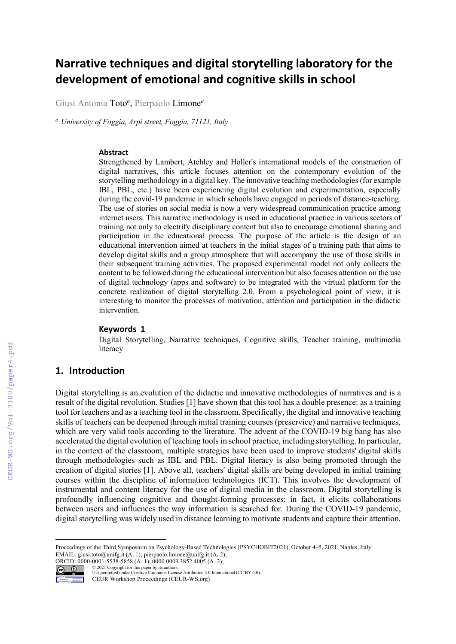# **Narrative techniques and digital storytelling laboratory for the development of emotional and cognitive skills in school**

Giusi Antonia Toto*<sup>a</sup>* , Pierpaolo Limone*<sup>a</sup>*

*<sup>a</sup> University of Foggia, Arpi street, Foggia, 71121, Italy*

#### **Abstract**

Strengthened by Lambert, Atchley and Holler's international models of the construction of digital narratives, this article focuses attention on the contemporary evolution of the storytelling methodology in a digital key. The innovative teaching methodologies (for example IBL, PBL, etc.) have been experiencing digital evolution and experimentation, especially during the covid-19 pandemic in which schools have engaged in periods of distance-teaching. The use of stories on social media is now a very widespread communication practice among internet users. This narrative methodology is used in educational practice in various sectors of training not only to electrify disciplinary content but also to encourage emotional sharing and participation in the educational process. The purpose of the article is the design of an educational intervention aimed at teachers in the initial stages of a training path that aims to develop digital skills and a group atmosphere that will accompany the use of those skills in their subsequent training activities. The proposed experimental model not only collects the content to be followed during the educational intervention but also focuses attention on the use of digital technology (apps and software) to be integrated with the virtual platform for the concrete realization of digital storytelling 2.0. From a psychological point of view, it is interesting to monitor the processes of motivation, attention and participation in the didactic intervention.

#### **Keywords 1**

Digital Storytelling, Narrative techniques, Cognitive skills, Teacher training, multimedia literacy

# **1. Introduction**

Digital storytelling is an evolution of the didactic and innovative methodologies of narratives and is a result of the digital revolution. Studies [1] have shown that this tool has a double presence: as a training tool for teachers and as a teaching tool in the classroom. Specifically, the digital and innovative teaching skills of teachers can be deepened through initial training courses (preservice) and narrative techniques, which are very valid tools according to the literature. The advent of the COVID-19 big bang has also accelerated the digital evolution of teaching tools in school practice, including storytelling. In particular, in the context of the classroom, multiple strategies have been used to improve students' digital skills through methodologies such as IBL and PBL. Digital literacy is also being promoted through the creation of digital stories [1]. Above all, teachers' digital skills are being developed in initial training courses within the discipline of information technologies (ICT). This involves the development of instrumental and content literacy for the use of digital media in the classroom. Digital storytelling is profoundly influencing cognitive and thought-forming processes; in fact, it elicits collaborations between users and influences the way information is searched for. During the COVID-19 pandemic, digital storytelling was widely used in distance learning to motivate students and capture their attention.

Proccedings of the Third Symposium on Psychology-Based Technologies (PSYCHOBIT2021), October 4–5, 2021, Naples, Italy EMAIL: giusi.toto@unifg.it (A. 1); pierpaolo.limone@unifg.it (A. 2); ORCID: 0000-0001-5538-5858 (A. 1); 0000 0003 3852 4005 (A. 2); © <sup>2021</sup> Copyright for this paper by its authors.



Use permitted under Creative Commons License Attribution 4.0 International (CC BY 4.0). CEUR Workshop Proceedings (CEUR-WS.org)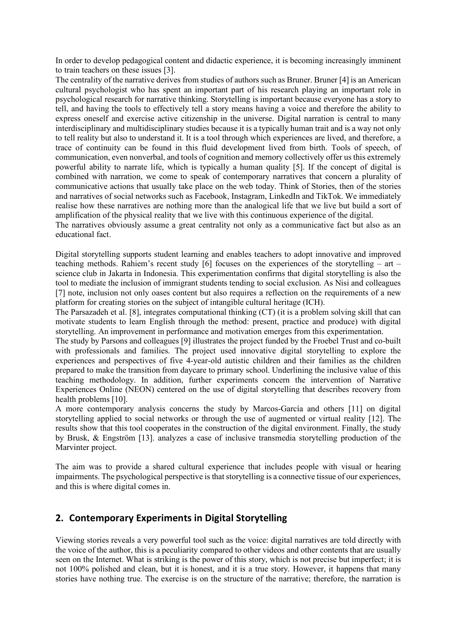In order to develop pedagogical content and didactic experience, it is becoming increasingly imminent to train teachers on these issues [3].

The centrality of the narrative derives from studies of authors such as Bruner. Bruner [4] is an American cultural psychologist who has spent an important part of his research playing an important role in psychological research for narrative thinking. Storytelling is important because everyone has a story to tell, and having the tools to effectively tell a story means having a voice and therefore the ability to express oneself and exercise active citizenship in the universe. Digital narration is central to many interdisciplinary and multidisciplinary studies because it is a typically human trait and is a way not only to tell reality but also to understand it. It is a tool through which experiences are lived, and therefore, a trace of continuity can be found in this fluid development lived from birth. Tools of speech, of communication, even nonverbal, and tools of cognition and memory collectively offer us this extremely powerful ability to narrate life, which is typically a human quality [5]. If the concept of digital is combined with narration, we come to speak of contemporary narratives that concern a plurality of communicative actions that usually take place on the web today. Think of Stories, then of the stories and narratives of social networks such as Facebook, Instagram, LinkedIn and TikTok. We immediately realise how these narratives are nothing more than the analogical life that we live but build a sort of amplification of the physical reality that we live with this continuous experience of the digital.

The narratives obviously assume a great centrality not only as a communicative fact but also as an educational fact.

Digital storytelling supports student learning and enables teachers to adopt innovative and improved teaching methods. Rahiem's recent study [6] focuses on the experiences of the storytelling – art – science club in Jakarta in Indonesia. This experimentation confirms that digital storytelling is also the tool to mediate the inclusion of immigrant students tending to social exclusion. As Nisi and colleagues [7] note, inclusion not only oases content but also requires a reflection on the requirements of a new platform for creating stories on the subject of intangible cultural heritage (ICH).

The Parsazadeh et al. [8], integrates computational thinking (CT) (it is a problem solving skill that can motivate students to learn English through the method: present, practice and produce) with digital storytelling. An improvement in performance and motivation emerges from this experimentation.

The study by Parsons and colleagues [9] illustrates the project funded by the Froebel Trust and co-built with professionals and families. The project used innovative digital storytelling to explore the experiences and perspectives of five 4-year-old autistic children and their families as the children prepared to make the transition from daycare to primary school. Underlining the inclusive value of this teaching methodology. In addition, further experiments concern the intervention of Narrative Experiences Online (NEON) centered on the use of digital storytelling that describes recovery from health problems [10].

A more contemporary analysis concerns the study by Marcos-García and others [11] on digital storytelling applied to social networks or through the use of augmented or virtual reality [12]. The results show that this tool cooperates in the construction of the digital environment. Finally, the study by Brusk, & Engström [13]. analyzes a case of inclusive transmedia storytelling production of the Marvinter project.

The aim was to provide a shared cultural experience that includes people with visual or hearing impairments. The psychological perspective is that storytelling is a connective tissue of our experiences, and this is where digital comes in.

# **2. Contemporary Experiments in Digital Storytelling**

Viewing stories reveals a very powerful tool such as the voice: digital narratives are told directly with the voice of the author, this is a peculiarity compared to other videos and other contents that are usually seen on the Internet. What is striking is the power of this story, which is not precise but imperfect; it is not 100% polished and clean, but it is honest, and it is a true story. However, it happens that many stories have nothing true. The exercise is on the structure of the narrative; therefore, the narration is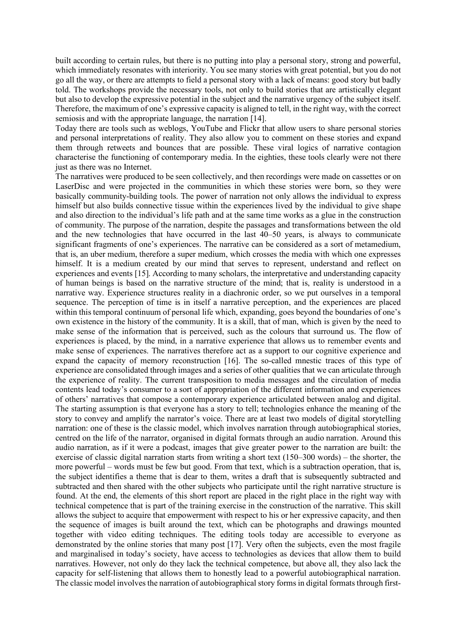built according to certain rules, but there is no putting into play a personal story, strong and powerful, which immediately resonates with interiority. You see many stories with great potential, but you do not go all the way, or there are attempts to field a personal story with a lack of means: good story but badly told. The workshops provide the necessary tools, not only to build stories that are artistically elegant but also to develop the expressive potential in the subject and the narrative urgency of the subject itself. Therefore, the maximum of one's expressive capacity is aligned to tell, in the right way, with the correct semiosis and with the appropriate language, the narration [14].

Today there are tools such as weblogs, YouTube and Flickr that allow users to share personal stories and personal interpretations of reality. They also allow you to comment on these stories and expand them through retweets and bounces that are possible. These viral logics of narrative contagion characterise the functioning of contemporary media. In the eighties, these tools clearly were not there just as there was no Internet.

The narratives were produced to be seen collectively, and then recordings were made on cassettes or on LaserDisc and were projected in the communities in which these stories were born, so they were basically community-building tools. The power of narration not only allows the individual to express himself but also builds connective tissue within the experiences lived by the individual to give shape and also direction to the individual's life path and at the same time works as a glue in the construction of community. The purpose of the narration, despite the passages and transformations between the old and the new technologies that have occurred in the last 40–50 years, is always to communicate significant fragments of one's experiences. The narrative can be considered as a sort of metamedium, that is, an uber medium, therefore a super medium, which crosses the media with which one expresses himself. It is a medium created by our mind that serves to represent, understand and reflect on experiences and events [15]. According to many scholars, the interpretative and understanding capacity of human beings is based on the narrative structure of the mind; that is, reality is understood in a narrative way. Experience structures reality in a diachronic order, so we put ourselves in a temporal sequence. The perception of time is in itself a narrative perception, and the experiences are placed within this temporal continuum of personal life which, expanding, goes beyond the boundaries of one's own existence in the history of the community. It is a skill, that of man, which is given by the need to make sense of the information that is perceived, such as the colours that surround us. The flow of experiences is placed, by the mind, in a narrative experience that allows us to remember events and make sense of experiences. The narratives therefore act as a support to our cognitive experience and expand the capacity of memory reconstruction [16]. The so-called mnestic traces of this type of experience are consolidated through images and a series of other qualities that we can articulate through the experience of reality. The current transposition to media messages and the circulation of media contents lead today's consumer to a sort of appropriation of the different information and experiences of others' narratives that compose a contemporary experience articulated between analog and digital. The starting assumption is that everyone has a story to tell; technologies enhance the meaning of the story to convey and amplify the narrator's voice. There are at least two models of digital storytelling narration: one of these is the classic model, which involves narration through autobiographical stories, centred on the life of the narrator, organised in digital formats through an audio narration. Around this audio narration, as if it were a podcast, images that give greater power to the narration are built: the exercise of classic digital narration starts from writing a short text (150–300 words) – the shorter, the more powerful – words must be few but good. From that text, which is a subtraction operation, that is, the subject identifies a theme that is dear to them, writes a draft that is subsequently subtracted and subtracted and then shared with the other subjects who participate until the right narrative structure is found. At the end, the elements of this short report are placed in the right place in the right way with technical competence that is part of the training exercise in the construction of the narrative. This skill allows the subject to acquire that empowerment with respect to his or her expressive capacity, and then the sequence of images is built around the text, which can be photographs and drawings mounted together with video editing techniques. The editing tools today are accessible to everyone as demonstrated by the online stories that many post [17]. Very often the subjects, even the most fragile and marginalised in today's society, have access to technologies as devices that allow them to build narratives. However, not only do they lack the technical competence, but above all, they also lack the capacity for self-listening that allows them to honestly lead to a powerful autobiographical narration. The classic model involves the narration of autobiographical story forms in digital formats through first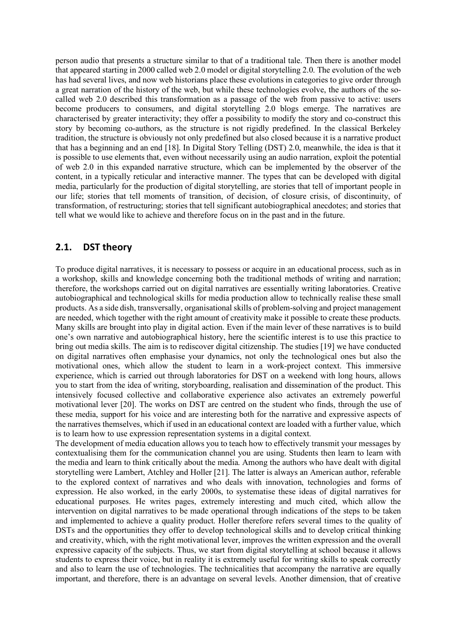person audio that presents a structure similar to that of a traditional tale. Then there is another model that appeared starting in 2000 called web 2.0 model or digital storytelling 2.0. The evolution of the web has had several lives, and now web historians place these evolutions in categories to give order through a great narration of the history of the web, but while these technologies evolve, the authors of the socalled web 2.0 described this transformation as a passage of the web from passive to active: users become producers to consumers, and digital storytelling 2.0 blogs emerge. The narratives are characterised by greater interactivity; they offer a possibility to modify the story and co-construct this story by becoming co-authors, as the structure is not rigidly predefined. In the classical Berkeley tradition, the structure is obviously not only predefined but also closed because it is a narrative product that has a beginning and an end [18]. In Digital Story Telling (DST) 2.0, meanwhile, the idea is that it is possible to use elements that, even without necessarily using an audio narration, exploit the potential of web 2.0 in this expanded narrative structure, which can be implemented by the observer of the content, in a typically reticular and interactive manner. The types that can be developed with digital media, particularly for the production of digital storytelling, are stories that tell of important people in our life; stories that tell moments of transition, of decision, of closure crisis, of discontinuity, of transformation, of restructuring; stories that tell significant autobiographical anecdotes; and stories that tell what we would like to achieve and therefore focus on in the past and in the future.

# **2.1. DST theory**

To produce digital narratives, it is necessary to possess or acquire in an educational process, such as in a workshop, skills and knowledge concerning both the traditional methods of writing and narration; therefore, the workshops carried out on digital narratives are essentially writing laboratories. Creative autobiographical and technological skills for media production allow to technically realise these small products. As a side dish, transversally, organisational skills of problem-solving and project management are needed, which together with the right amount of creativity make it possible to create these products. Many skills are brought into play in digital action. Even if the main lever of these narratives is to build one's own narrative and autobiographical history, here the scientific interest is to use this practice to bring out media skills. The aim is to rediscover digital citizenship. The studies [19] we have conducted on digital narratives often emphasise your dynamics, not only the technological ones but also the motivational ones, which allow the student to learn in a work-project context. This immersive experience, which is carried out through laboratories for DST on a weekend with long hours, allows you to start from the idea of writing, storyboarding, realisation and dissemination of the product. This intensively focused collective and collaborative experience also activates an extremely powerful motivational lever [20]. The works on DST are centred on the student who finds, through the use of these media, support for his voice and are interesting both for the narrative and expressive aspects of the narratives themselves, which if used in an educational context are loaded with a further value, which is to learn how to use expression representation systems in a digital context.

The development of media education allows you to teach how to effectively transmit your messages by contextualising them for the communication channel you are using. Students then learn to learn with the media and learn to think critically about the media. Among the authors who have dealt with digital storytelling were Lambert, Atchley and Holler [21]. The latter is always an American author, referable to the explored context of narratives and who deals with innovation, technologies and forms of expression. He also worked, in the early 2000s, to systematise these ideas of digital narratives for educational purposes. He writes pages, extremely interesting and much cited, which allow the intervention on digital narratives to be made operational through indications of the steps to be taken and implemented to achieve a quality product. Holler therefore refers several times to the quality of DSTs and the opportunities they offer to develop technological skills and to develop critical thinking and creativity, which, with the right motivational lever, improves the written expression and the overall expressive capacity of the subjects. Thus, we start from digital storytelling at school because it allows students to express their voice, but in reality it is extremely useful for writing skills to speak correctly and also to learn the use of technologies. The technicalities that accompany the narrative are equally important, and therefore, there is an advantage on several levels. Another dimension, that of creative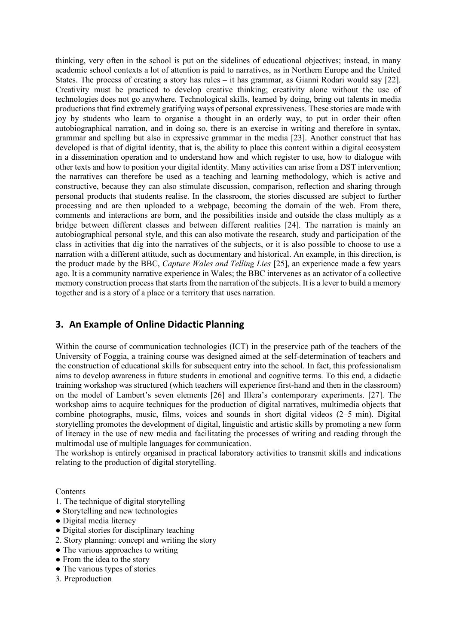thinking, very often in the school is put on the sidelines of educational objectives; instead, in many academic school contexts a lot of attention is paid to narratives, as in Northern Europe and the United States. The process of creating a story has rules – it has grammar, as Gianni Rodari would say [22]. Creativity must be practiced to develop creative thinking; creativity alone without the use of technologies does not go anywhere. Technological skills, learned by doing, bring out talents in media productions that find extremely gratifying ways of personal expressiveness. These stories are made with joy by students who learn to organise a thought in an orderly way, to put in order their often autobiographical narration, and in doing so, there is an exercise in writing and therefore in syntax, grammar and spelling but also in expressive grammar in the media [23]. Another construct that has developed is that of digital identity, that is, the ability to place this content within a digital ecosystem in a dissemination operation and to understand how and which register to use, how to dialogue with other texts and how to position your digital identity. Many activities can arise from a DST intervention; the narratives can therefore be used as a teaching and learning methodology, which is active and constructive, because they can also stimulate discussion, comparison, reflection and sharing through personal products that students realise. In the classroom, the stories discussed are subject to further processing and are then uploaded to a webpage, becoming the domain of the web. From there, comments and interactions are born, and the possibilities inside and outside the class multiply as a bridge between different classes and between different realities [24]. The narration is mainly an autobiographical personal style, and this can also motivate the research, study and participation of the class in activities that dig into the narratives of the subjects, or it is also possible to choose to use a narration with a different attitude, such as documentary and historical. An example, in this direction, is the product made by the BBC, *Capture Wales and Telling Lies* [25], an experience made a few years ago. It is a community narrative experience in Wales; the BBC intervenes as an activator of a collective memory construction process that starts from the narration of the subjects. It is a lever to build a memory together and is a story of a place or a territory that uses narration.

# **3. An Example of Online Didactic Planning**

Within the course of communication technologies (ICT) in the preservice path of the teachers of the University of Foggia, a training course was designed aimed at the self-determination of teachers and the construction of educational skills for subsequent entry into the school. In fact, this professionalism aims to develop awareness in future students in emotional and cognitive terms. To this end, a didactic training workshop was structured (which teachers will experience first-hand and then in the classroom) on the model of Lambert's seven elements [26] and Illera's contemporary experiments. [27]. The workshop aims to acquire techniques for the production of digital narratives, multimedia objects that combine photographs, music, films, voices and sounds in short digital videos (2–5 min). Digital storytelling promotes the development of digital, linguistic and artistic skills by promoting a new form of literacy in the use of new media and facilitating the processes of writing and reading through the multimodal use of multiple languages for communication.

The workshop is entirely organised in practical laboratory activities to transmit skills and indications relating to the production of digital storytelling.

**Contents** 

- 1. The technique of digital storytelling
- Storytelling and new technologies
- Digital media literacy
- Digital stories for disciplinary teaching
- 2. Story planning: concept and writing the story
- The various approaches to writing
- From the idea to the story
- The various types of stories
- 3. Preproduction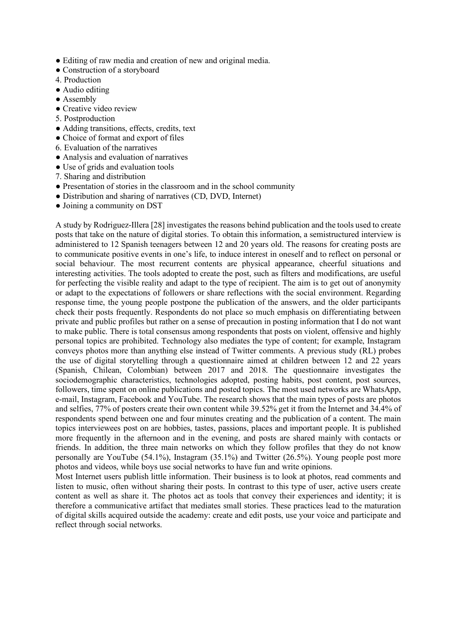- Editing of raw media and creation of new and original media.
- Construction of a storyboard
- 4. Production
- Audio editing
- Assembly
- Creative video review
- 5. Postproduction
- Adding transitions, effects, credits, text
- Choice of format and export of files
- 6. Evaluation of the narratives
- Analysis and evaluation of narratives
- Use of grids and evaluation tools
- 7. Sharing and distribution
- Presentation of stories in the classroom and in the school community
- Distribution and sharing of narratives (CD, DVD, Internet)
- Joining a community on DST

A study by Rodriguez-Illera [28] investigates the reasons behind publication and the tools used to create posts that take on the nature of digital stories. To obtain this information, a semistructured interview is administered to 12 Spanish teenagers between 12 and 20 years old. The reasons for creating posts are to communicate positive events in one's life, to induce interest in oneself and to reflect on personal or social behaviour. The most recurrent contents are physical appearance, cheerful situations and interesting activities. The tools adopted to create the post, such as filters and modifications, are useful for perfecting the visible reality and adapt to the type of recipient. The aim is to get out of anonymity or adapt to the expectations of followers or share reflections with the social environment. Regarding response time, the young people postpone the publication of the answers, and the older participants check their posts frequently. Respondents do not place so much emphasis on differentiating between private and public profiles but rather on a sense of precaution in posting information that I do not want to make public. There is total consensus among respondents that posts on violent, offensive and highly personal topics are prohibited. Technology also mediates the type of content; for example, Instagram conveys photos more than anything else instead of Twitter comments. A previous study (RL) probes the use of digital storytelling through a questionnaire aimed at children between 12 and 22 years (Spanish, Chilean, Colombian) between 2017 and 2018. The questionnaire investigates the sociodemographic characteristics, technologies adopted, posting habits, post content, post sources, followers, time spent on online publications and posted topics. The most used networks are WhatsApp, e-mail, Instagram, Facebook and YouTube. The research shows that the main types of posts are photos and selfies, 77% of posters create their own content while 39.52% get it from the Internet and 34.4% of respondents spend between one and four minutes creating and the publication of a content. The main topics interviewees post on are hobbies, tastes, passions, places and important people. It is published more frequently in the afternoon and in the evening, and posts are shared mainly with contacts or friends. In addition, the three main networks on which they follow profiles that they do not know personally are YouTube (54.1%), Instagram (35.1%) and Twitter (26.5%). Young people post more photos and videos, while boys use social networks to have fun and write opinions.

Most Internet users publish little information. Their business is to look at photos, read comments and listen to music, often without sharing their posts. In contrast to this type of user, active users create content as well as share it. The photos act as tools that convey their experiences and identity; it is therefore a communicative artifact that mediates small stories. These practices lead to the maturation of digital skills acquired outside the academy: create and edit posts, use your voice and participate and reflect through social networks.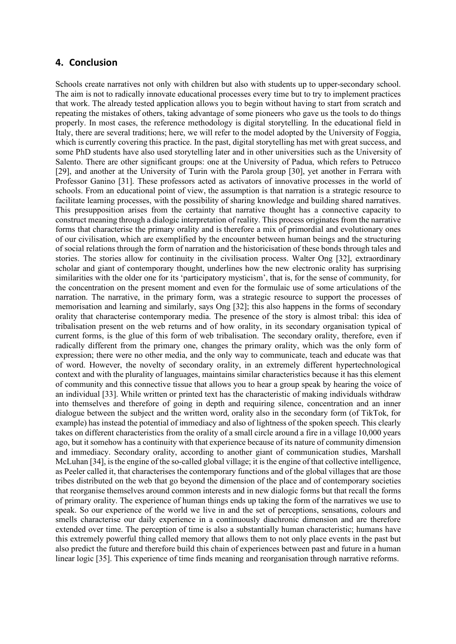### **4. Conclusion**

Schools create narratives not only with children but also with students up to upper-secondary school. The aim is not to radically innovate educational processes every time but to try to implement practices that work. The already tested application allows you to begin without having to start from scratch and repeating the mistakes of others, taking advantage of some pioneers who gave us the tools to do things properly. In most cases, the reference methodology is digital storytelling. In the educational field in Italy, there are several traditions; here, we will refer to the model adopted by the University of Foggia, which is currently covering this practice. In the past, digital storytelling has met with great success, and some PhD students have also used storytelling later and in other universities such as the University of Salento. There are other significant groups: one at the University of Padua, which refers to Petrucco [29], and another at the University of Turin with the Parola group [30], yet another in Ferrara with Professor Ganino [31]. These professors acted as activators of innovative processes in the world of schools. From an educational point of view, the assumption is that narration is a strategic resource to facilitate learning processes, with the possibility of sharing knowledge and building shared narratives. This presupposition arises from the certainty that narrative thought has a connective capacity to construct meaning through a dialogic interpretation of reality. This process originates from the narrative forms that characterise the primary orality and is therefore a mix of primordial and evolutionary ones of our civilisation, which are exemplified by the encounter between human beings and the structuring of social relations through the form of narration and the historicisation of these bonds through tales and stories. The stories allow for continuity in the civilisation process. Walter Ong [32], extraordinary scholar and giant of contemporary thought, underlines how the new electronic orality has surprising similarities with the older one for its 'participatory mysticism', that is, for the sense of community, for the concentration on the present moment and even for the formulaic use of some articulations of the narration. The narrative, in the primary form, was a strategic resource to support the processes of memorisation and learning and similarly, says Ong [32]; this also happens in the forms of secondary orality that characterise contemporary media. The presence of the story is almost tribal: this idea of tribalisation present on the web returns and of how orality, in its secondary organisation typical of current forms, is the glue of this form of web tribalisation. The secondary orality, therefore, even if radically different from the primary one, changes the primary orality, which was the only form of expression; there were no other media, and the only way to communicate, teach and educate was that of word. However, the novelty of secondary orality, in an extremely different hypertechnological context and with the plurality of languages, maintains similar characteristics because it has this element of community and this connective tissue that allows you to hear a group speak by hearing the voice of an individual [33]. While written or printed text has the characteristic of making individuals withdraw into themselves and therefore of going in depth and requiring silence, concentration and an inner dialogue between the subject and the written word, orality also in the secondary form (of TikTok, for example) has instead the potential of immediacy and also of lightness of the spoken speech. This clearly takes on different characteristics from the orality of a small circle around a fire in a village 10,000 years ago, but it somehow has a continuity with that experience because of its nature of community dimension and immediacy. Secondary orality, according to another giant of communication studies, Marshall McLuhan [34], is the engine of the so-called global village; it is the engine of that collective intelligence, as Peeler called it, that characterises the contemporary functions and of the global villages that are those tribes distributed on the web that go beyond the dimension of the place and of contemporary societies that reorganise themselves around common interests and in new dialogic forms but that recall the forms of primary orality. The experience of human things ends up taking the form of the narratives we use to speak. So our experience of the world we live in and the set of perceptions, sensations, colours and smells characterise our daily experience in a continuously diachronic dimension and are therefore extended over time. The perception of time is also a substantially human characteristic; humans have this extremely powerful thing called memory that allows them to not only place events in the past but also predict the future and therefore build this chain of experiences between past and future in a human linear logic [35]. This experience of time finds meaning and reorganisation through narrative reforms.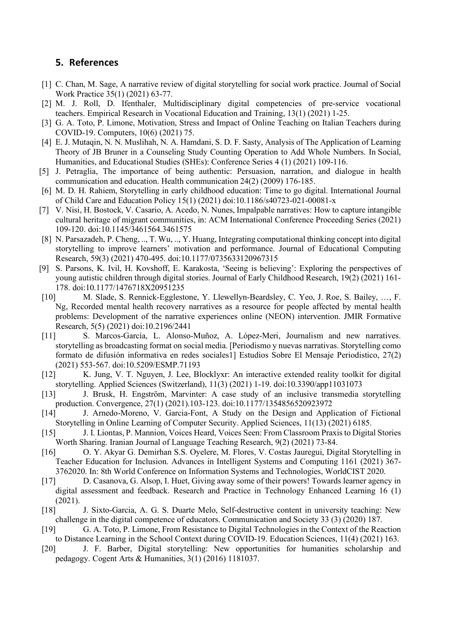## **5. References**

- [1] C. Chan, M. Sage, A narrative review of digital storytelling for social work practice. Journal of Social Work Practice 35(1) (2021) 63-77.
- [2] M. J. Roll, D. Ifenthaler, Multidisciplinary digital competencies of pre-service vocational teachers. Empirical Research in Vocational Education and Training, 13(1) (2021) 1-25.
- [3] G. A. Toto, P. Limone, Motivation, Stress and Impact of Online Teaching on Italian Teachers during COVID-19. Computers, 10(6) (2021) 75.
- [4] E. J. Mutaqin, N. N. Muslihah, N. A. Hamdani, S. D. F. Sasty, Analysis of The Application of Learning Theory of JB Bruner in a Counseling Study Counting Operation to Add Whole Numbers. In Social, Humanities, and Educational Studies (SHEs): Conference Series 4 (1) (2021) 109-116.
- [5] J. Petraglia, The importance of being authentic: Persuasion, narration, and dialogue in health communication and education. Health communication 24(2) (2009) 176-185.
- [6] M. D. H. Rahiem, Storytelling in early childhood education: Time to go digital. International Journal of Child Care and Education Policy 15(1) (2021) doi:10.1186/s40723-021-00081-x
- [7] V. Nisi, H. Bostock, V. Casario, A. Acedo, N. Nunes, Impalpable narratives: How to capture intangible cultural heritage of migrant communities, in: ACM International Conference Proceeding Series (2021) 109-120. doi:10.1145/3461564.3461575
- [8] N. Parsazadeh, P. Cheng, .., T. Wu, .., Y. Huang, Integrating computational thinking concept into digital storytelling to improve learners' motivation and performance. Journal of Educational Computing Research, 59(3) (2021) 470-495. doi:10.1177/0735633120967315
- [9] S. Parsons, K. Ivil, H. Kovshoff, E. Karakosta, 'Seeing is believing': Exploring the perspectives of young autistic children through digital stories. Journal of Early Childhood Research, 19(2) (2021) 161- 178. doi:10.1177/1476718X20951235
- [10] M. Slade, S. Rennick-Egglestone, Y. Llewellyn-Beardsley, C. Yeo, J. Roe, S. Bailey, …, F. Ng, Recorded mental health recovery narratives as a resource for people affected by mental health problems: Development of the narrative experiences online (NEON) intervention. JMIR Formative Research, 5(5) (2021) doi:10.2196/2441
- [11] S. Marcos-García, L. Alonso-Muñoz, A. López-Meri, Journalism and new narratives. storytelling as broadcasting format on social media. [Periodismo y nuevas narrativas. Storytelling como formato de difusión informativa en redes sociales1] Estudios Sobre El Mensaje Periodistico, 27(2) (2021) 553-567. doi:10.5209/ESMP.71193
- [12] K. Jung, V. T. Nguyen, J. Lee, Blocklyxr: An interactive extended reality toolkit for digital storytelling. Applied Sciences (Switzerland), 11(3) (2021) 1-19. doi:10.3390/app11031073
- [13] J. Brusk, H. Engström, Marvinter: A case study of an inclusive transmedia storytelling production. Convergence, 27(1) (2021).103-123. doi:10.1177/1354856520923972
- [14] J. Arnedo-Moreno, V. Garcia-Font, A Study on the Design and Application of Fictional Storytelling in Online Learning of Computer Security. Applied Sciences, 11(13) (2021) 6185.
- [15] J. I. Liontas, P. Mannion, Voices Heard, Voices Seen: From Classroom Praxis to Digital Stories Worth Sharing. Iranian Journal of Language Teaching Research, 9(2) (2021) 73-84.
- [16] O. Y. Akyar G. Demirhan S.S. Oyelere, M. Flores, V. Costas Jauregui, Digital Storytelling in Teacher Education for Inclusion. Advances in Intelligent Systems and Computing 1161 (2021) 367- 3762020. In: 8th World Conference on Information Systems and Technologies, WorldCIST 2020.
- [17] D. Casanova, G. Alsop, I. Huet, Giving away some of their powers! Towards learner agency in digital assessment and feedback. Research and Practice in Technology Enhanced Learning 16 (1) (2021).
- [18] J. Sixto-Garcia, A. G. S. Duarte Melo, Self-destructive content in university teaching: New challenge in the digital competence of educators. Communication and Society 33 (3) (2020) 187.
- [19] G. A. Toto, P. Limone, From Resistance to Digital Technologies in the Context of the Reaction to Distance Learning in the School Context during COVID-19. Education Sciences, 11(4) (2021) 163.
- [20] J. F. Barber, Digital storytelling: New opportunities for humanities scholarship and pedagogy. Cogent Arts & Humanities, 3(1) (2016) 1181037.